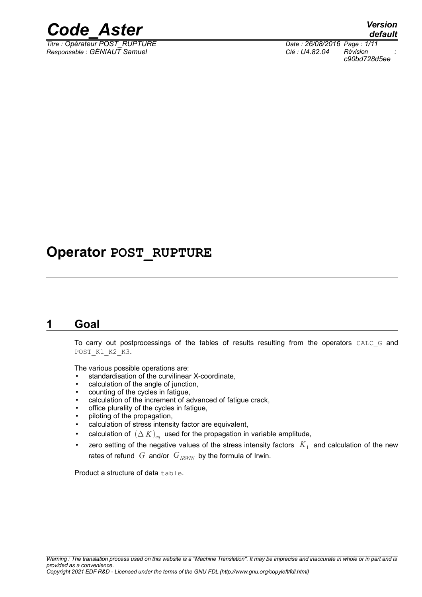

*Titre : Opérateur POST\_RUPTURE Date : 26/08/2016 Page : 1/11*

*default Responsable : GÉNIAUT Samuel Clé : U4.82.04 Révision : c90bd728d5ee*

# **Operator POST\_RUPTURE**

# **1 Goal**

To carry out postprocessings of the tables of results resulting from the operators CALC G and POST K1 K2 K3.

The various possible operations are:

- standardisation of the curvilinear X-coordinate,
- calculation of the angle of junction,
- counting of the cycles in fatigue,
- calculation of the increment of advanced of fatigue crack.
- office plurality of the cycles in fatigue,
- piloting of the propagation,
- calculation of stress intensity factor are equivalent,
- calculation of  $(\Delta K)_{eq}$  used for the propagation in variable amplitude,
- $\;$  zero setting of the negative values of the stress intensity factors  $\;K_1\;$  and calculation of the new rates of refund *G* and/or  $G_{IRWIN}$  by the formula of Irwin.

Product a structure of data table.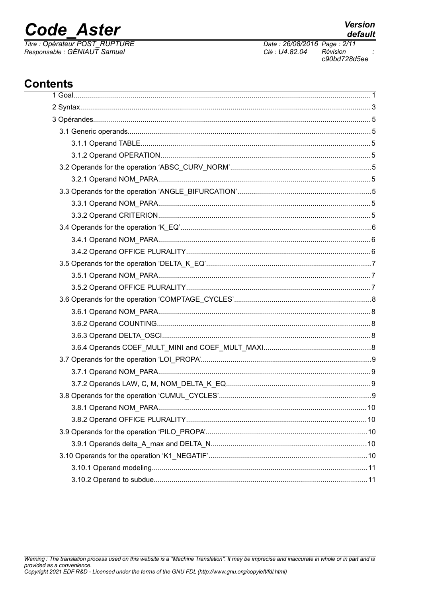# **Code Aster**

Titre : Opérateur POST\_RUPTURE<br>Responsable : GÉNIAUT Samuel

**Version** 

Clé : U4.82.04 Révision c90bd728d5ee

# **Contents**

| 10 |
|----|
|    |
|    |
|    |
|    |
|    |
|    |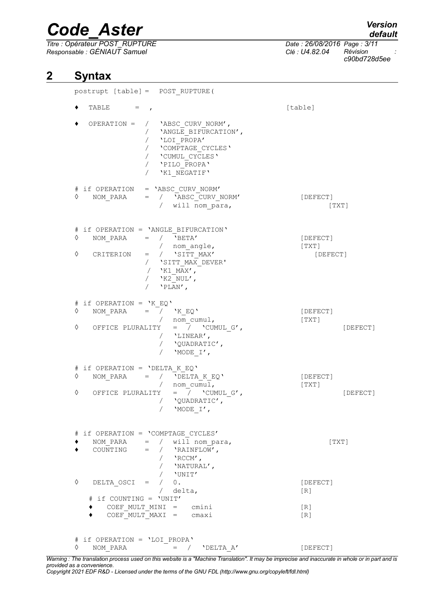*Titre : Opérateur POST\_RUPTURE Date : 26/08/2016 Page : 3/11 Responsable : GÉNIAUT Samuel Clé : U4.82.04 Révision :*

*c90bd728d5ee*

# **2 Syntax**

| postrupt [table] = POST RUPTURE (                                                                                                                                                                                                |                                                           |
|----------------------------------------------------------------------------------------------------------------------------------------------------------------------------------------------------------------------------------|-----------------------------------------------------------|
| TABLE $=$ ,                                                                                                                                                                                                                      | [table]                                                   |
| OPERATION =<br>/ 'ABSC CURV NORM',<br>/ 'ANGLE BIFURCATION',<br>/ 'LOI_PROPA'<br>/ 'LOI_PROPA'<br>/ 'COMPTAGE_CYCLES'<br>/ CUMUL_CYCLES'<br>/ 'PILO_PROPA'<br>$\sqrt{2}$<br>'K1 NEGATIF'                                         |                                                           |
| # if OPERATION = 'ABSC CURV NORM'<br>$\begin{array}{ccccccccc} \text{NOM\_PARA} & = & / & \text{'ABSC\_CURV\_NORM'} \end{array}$<br>♦<br>/ will nom_para,                                                                        | [DEFECT]<br>[TXT]                                         |
| # if OPERATION = 'ANGLE BIFURCATION'<br>$=$ / $'BETA'$<br>♦<br>NOM PARA<br>/ nom angle,<br>♦<br>$=$ / $\sqrt{SITT_MAX'}$<br>CRITERION<br>/ 'SITT_MAX_DEVER'<br>/ $'KL\_MAX'$ ,<br>/ $'KK2 NUL'$ ,<br>$/$ 'PLAN',                 | [DEFECT]<br>[TXT]<br>[DEFECT]                             |
| # if OPERATION = $'K EQ'$<br>NOM_PARA = $\frac{1}{\sqrt{K}}$ $\frac{1}{K}$ $\frac{EQ}{N}$<br>♦<br>$/$ nom_cumul,<br>OFFICE PLURALITY = $\overline{\phantom{a}}$ 'CUMUL_G',<br>♦<br>/ $'$ LINEAR',<br>/ 'QUADRATIC',<br>'MODE I', | [DEFECT]<br>[TXT]<br>[DEFECT]                             |
| $#$ if OPERATION = 'DELTA K EQ'<br>NOM PARA = $/$ 'DELTA K EQ'<br>♦<br>/ nom_cumul,<br>♦<br>OFFICE PLURALITY = $/$ 'CUMUL G',<br>/ 'QUADRATIC',<br>/ 'MODE I',                                                                   | [DEFECT]<br>[TXT]<br>[DEFECT]                             |
| if OPERATION = 'COMPTAGE CYCLES'<br>#<br>NOM PARA = $/$ will nom para,<br>COUNTING = $/$ 'RAINFLOW',<br>$\sqrt{2}$ 'RCCM',<br>/ $\quad$ <code>'NATURAL</code> $\prime$ ,                                                         | [TXT]                                                     |
| / 'UNIT'<br>♦<br>DELTA OSCI = $/ 0$ .<br>delta,<br>if COUNTING = 'UNIT'<br>COEF MULT MINI = $cmini$<br>$COEF$ MULT MAXI = $cmaxi$                                                                                                | [DEFECT]<br>$\lceil R \rceil$<br>[R]<br>$\lceil R \rceil$ |
| # if OPERATION = 'LOI PROPA'<br>♦<br>NOM PARA<br>$=$ /<br>'DELTA A'                                                                                                                                                              | [DEFECT]                                                  |

*Warning : The translation process used on this website is a "Machine Translation". It may be imprecise and inaccurate in whole or in part and is provided as a convenience.*

# *default*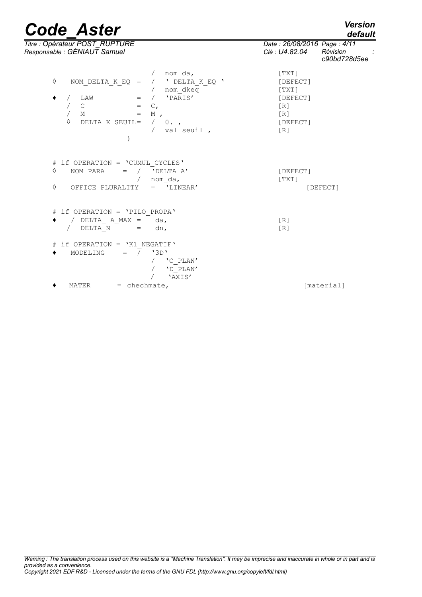*default*

| Titre : Opérateur POST_RUPTURE<br>Responsable : GÉNIAUT Samuel                                                                                                                                                        | Date: 26/08/2016 Page: 4/11<br>Révision<br>Clé : U4.82.04<br>c90bd728d5ee |
|-----------------------------------------------------------------------------------------------------------------------------------------------------------------------------------------------------------------------|---------------------------------------------------------------------------|
| nom da,<br>♦<br>/ $\cdot$ DELTA K EQ $\cdot$<br>NOM DELTA K EQ =<br>/ nom dkeq<br>$=$ / $'PRRIS'$<br>٠<br>LAW<br>$\mathsf{C}$<br>$=$ $C_{l}$<br>$= M$ ,<br>$M_{\rm H}$<br>♦<br>/ 0.<br>DELTA K SEUIL=<br>/ val seuil, | [TXT]<br>[DEFECT]<br>[TXT]<br>[DEFECT]<br>[R]<br>[R]<br>[DEFECT]<br>[R]   |
| # if OPERATION = 'CUMUL CYCLES'<br>♦<br>NOM PARA<br>/ $'$ DELTA A'<br>$=$<br>nom da,<br>$\sqrt{2}$<br>♦<br>$=$ 'LINEAR'<br>OFFICE PLURALITY                                                                           | [DEFECT]<br>[TXT]<br>[DEFECT]                                             |
| # if OPERATION = 'PILO PROPA'<br>/ DELTA A MAX = $da$ ,<br>DELTA N<br>dn,                                                                                                                                             | [R]<br>[R]                                                                |
| if OPERATION = 'K1 NEGATIF'<br>#<br>$=$ $\overline{7}$ $\sqrt{3}D$<br>MODELING<br>٠<br>'C PLAN'<br>'D PLAN'<br>'AXIS'                                                                                                 |                                                                           |
| $=$ chechmate,<br>MATER                                                                                                                                                                                               | [material]                                                                |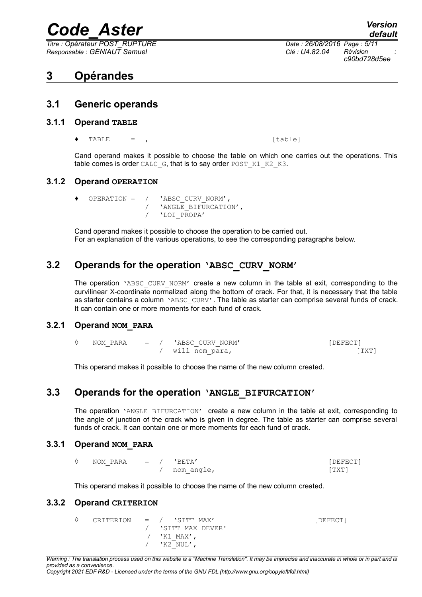*Titre : Opérateur POST\_RUPTURE Date : 26/08/2016 Page : 5/11 Responsable : GÉNIAUT Samuel Clé : U4.82.04 Révision :*

*c90bd728d5ee*

# **3 Opérandes**

#### **3.1 Generic operands**

#### **3.1.1 Operand TABLE**

 $TABLE = ,$  [table]

Cand operand makes it possible to choose the table on which one carries out the operations. This table comes is order CALC\_G, that is to say order POST\_K1\_K2\_K3.

#### **3.1.2 Operand OPERATION**

- 
- OPERATION =  $/$  'ABSC CURV NORM', / 'ANGLE BIFURCATION', / 'LOI\_PROPA'

Cand operand makes it possible to choose the operation to be carried out. For an explanation of the various operations, to see the corresponding paragraphs below.

## **3.2 Operands for the operation 'ABSC\_CURV\_NORM'**

The operation 'ABSC CURV NORM' create a new column in the table at exit, corresponding to the curvilinear X-coordinate normalized along the bottom of crack. For that, it is necessary that the table as starter contains a column 'ABSC CURV'. The table as starter can comprise several funds of crack. It can contain one or more moments for each fund of crack.

#### **3.2.1 Operand NOM\_PARA**

◊ NOM\_PARA = / 'ABSC\_CURV\_NORM' [DEFECT] / will nom para, [TXT]

This operand makes it possible to choose the name of the new column created.

### **3.3 Operands for the operation 'ANGLE\_BIFURCATION'**

The operation 'ANGLE BIFURCATION' create a new column in the table at exit, corresponding to the angle of junction of the crack who is given in degree. The table as starter can comprise several funds of crack. It can contain one or more moments for each fund of crack.

#### **3.3.1 Operand NOM\_PARA**

| NOM PARA $=$ $/$ 'BETA' |            | [DEFECT] |
|-------------------------|------------|----------|
|                         | nom angle, | 'TXT1    |

This operand makes it possible to choose the name of the new column created.

#### **3.3.2 Operand CRITERION**

◊ CRITERION = / 'SITT\_MAX' [DEFECT] / 'SITT\_MAX\_DEVER'<br>/ 'K1 MAX'.  $'$ K1 MAX $'$ ,  $'$ K2\_NUL',

*Warning : The translation process used on this website is a "Machine Translation". It may be imprecise and inaccurate in whole or in part and is provided as a convenience. Copyright 2021 EDF R&D - Licensed under the terms of the GNU FDL (http://www.gnu.org/copyleft/fdl.html)*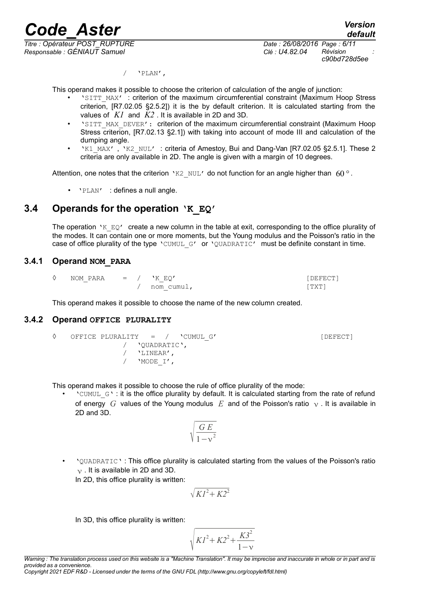*Titre : Opérateur POST\_RUPTURE Date : 26/08/2016 Page : 6/11 Responsable : GÉNIAUT Samuel Clé : U4.82.04 Révision :*

*c90bd728d5ee*

 $/$  'PLAN',

This operand makes it possible to choose the criterion of calculation of the angle of junction:

- 'SITT\_MAX' : criterion of the maximum circumferential constraint (Maximum Hoop Stress criterion, [R7.02.05 §2.5.2]) it is the by default criterion. It is calculated starting from the values of *K1* and *K2* . It is available in 2D and 3D.
- 'SITT\_MAX\_DEVER': criterion of the maximum circumferential constraint (Maximum Hoop Stress criterion, [R7.02.13 §2.1]) with taking into account of mode III and calculation of the dumping angle.
- 'K1\_MAX', 'K2\_NUL': criteria of Amestoy, Bui and Dang-Van [R7.02.05 §2.5.1]. These 2 criteria are only available in 2D. The angle is given with a margin of 10 degrees.

Attention, one notes that the criterion 'K2 NUL' do not function for an angle higher than  $60^\circ$ .

• 'PLAN' : defines a null angle.

## **3.4 Operands for the operation 'K\_EQ'**

The operation 'K  $EQ'$  create a new column in the table at exit, corresponding to the office plurality of the modes. It can contain one or more moments, but the Young modulus and the Poisson's ratio in the case of office plurality of the type 'CUMUL G' or 'QUADRATIC' must be definite constant in time.

#### **3.4.1 Operand NOM\_PARA**

| NOM PARA | $=$ $/$<br>. . |  | 'K EO'     | DEFECT1 |
|----------|----------------|--|------------|---------|
|          |                |  | nom cumu⊥, | TXT)    |

This operand makes it possible to choose the name of the new column created.

#### **3.4.2 Operand OFFICE PLURALITY**

```
◊ OFFICE PLURALITY = / 'CUMUL_G' [DEFECT]
  / 'QUADRATIC',<br>/ 'LINEAR',
     / 'LINEAR',
  / 'MODE_I',
```
This operand makes it possible to choose the rule of office plurality of the mode:

 $\text{``CUMUL } G \text{''}$ : it is the office plurality by default. It is calculated starting from the rate of refund of energy *G* values of the Young modulus *E* and of the Poisson's ratio  $\gamma$ . It is available in 2D and 3D.

$$
\sqrt{\frac{G E}{1-v^2}}
$$

• 'QUADRATIC' : This office plurality is calculated starting from the values of the Poisson's ratio  $\nu$ . It is available in 2D and 3D. In 2D, this office plurality is written:

$$
\sqrt{KI^2 + K2^2}
$$

In 3D, this office plurality is written:

$$
\sqrt{K l^2 + K 2^2 + \frac{K 3^2}{1 - v}}
$$

*Copyright 2021 EDF R&D - Licensed under the terms of the GNU FDL (http://www.gnu.org/copyleft/fdl.html)*

*Warning : The translation process used on this website is a "Machine Translation". It may be imprecise and inaccurate in whole or in part and is provided as a convenience.*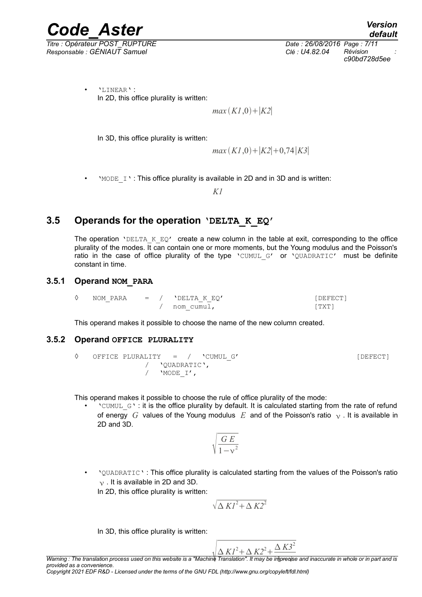*Titre : Opérateur POST\_RUPTURE Date : 26/08/2016 Page : 7/11 Responsable : GÉNIAUT Samuel Clé : U4.82.04 Révision :*

*Code\_Aster Version default c90bd728d5ee*

• 'LINEAR' : In 2D, this office plurality is written:

*max*  $(K1,0)$ <sup>+</sup> $|K2|$ 

In 3D, this office plurality is written:

*max*  $(K1,0)$  +  $|K2|$  + 0,74 $|K3|$ 

'MODE I': This office plurality is available in 2D and in 3D and is written:

*K1*

### **3.5 Operands for the operation 'DELTA\_K\_EQ'**

The operation 'DELTA  $K$  EQ' create a new column in the table at exit, corresponding to the office plurality of the modes. It can contain one or more moments, but the Young modulus and the Poisson's ratio in the case of office plurality of the type 'CUMUL G' or 'QUADRATIC' must be definite constant in time.

#### **3.5.1 Operand NOM\_PARA**

| NOM PARA | $=$ $\sqrt{ }$ | 'DELTA K EO' | [DEFECT]   |
|----------|----------------|--------------|------------|
|          |                | nom cumul,   | <b>TXT</b> |

This operand makes it possible to choose the name of the new column created.

#### **3.5.2 Operand OFFICE PLURALITY**

◊ OFFICE PLURALITY = / 'CUMUL\_G' [DEFECT] / 'QUADRATIC', / 'MODE\_I',

This operand makes it possible to choose the rule of office plurality of the mode:

 $\degree$  \CUMUL $\degree$ G $\degree$  : it is the office plurality by default. It is calculated starting from the rate of refund of energy G values of the Young modulus  $E$  and of the Poisson's ratio  $\gamma$ . It is available in 2D and 3D.

$$
\sqrt{\frac{G E}{1-v^2}}
$$

• 'QUADRATIC' : This office plurality is calculated starting from the values of the Poisson's ratio  $\nu$ . It is available in 2D and 3D. In 2D, this office plurality is written:

$$
\sqrt{\Delta K I^2 + \Delta K 2^2}
$$

In 3D, this office plurality is written:

$$
\sqrt{\frac{\Delta K l^2 + \Delta K 2^2 + \frac{\Delta K 3^2}{2}}{T
$$

*Warning : The translation process used on this website is a "Machine Translation". It may be imprecise and inaccurate in whole or in part and is provided as a convenience.*

*Copyright 2021 EDF R&D - Licensed under the terms of the GNU FDL (http://www.gnu.org/copyleft/fdl.html)*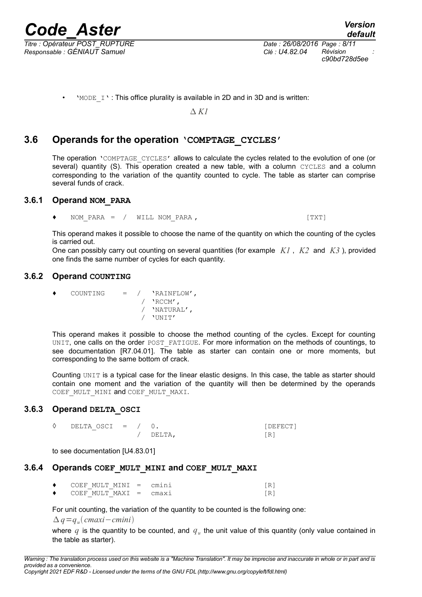*Titre : Opérateur POST\_RUPTURE Date : 26/08/2016 Page : 8/11 Responsable : GÉNIAUT Samuel Clé : U4.82.04 Révision :*

*c90bd728d5ee*

*K1*

#### **3.6 Operands for the operation 'COMPTAGE\_CYCLES'**

The operation 'COMPTAGE CYCLES' allows to calculate the cycles related to the evolution of one (or several) quantity (S). This operation created a new table, with a column CYCLES and a column corresponding to the variation of the quantity counted to cycle. The table as starter can comprise several funds of crack.

#### **3.6.1 Operand NOM\_PARA**

NOM PARA = / WILL NOM PARA ,  $[TXT]$ 

This operand makes it possible to choose the name of the quantity on which the counting of the cycles is carried out.

One can possibly carry out counting on several quantities (for example *K1* , *K2* and *K3* ), provided one finds the same number of cycles for each quantity.

#### **3.6.2 Operand COUNTING**

♦ COUNTING = / 'RAINFLOW',  $/$  'RCCM', / 'NATURAL', / 'UNIT'

This operand makes it possible to choose the method counting of the cycles. Except for counting UNIT, one calls on the order POST\_FATIGUE. For more information on the methods of countings, to see documentation [R7.04.01]. The table as starter can contain one or more moments, but corresponding to the same bottom of crack.

Counting UNIT is a typical case for the linear elastic designs. In this case, the table as starter should contain one moment and the variation of the quantity will then be determined by the operands COEF\_MULT\_MINI and COEF\_MULT\_MAXI.

#### **3.6.3 Operand DELTA\_OSCI**

◊ DELTA\_OSCI = / 0. [DEFECT] / DELTA, [R]

to see documentation [U4.83.01]

#### **3.6.4 Operands COEF\_MULT\_MINI and COEF\_MULT\_MAXI**

 $COEF$  MULT MINI = cmini  $[R]$  $\bullet$  COEF MULT MAXI = cmaxi [R]

For unit counting, the variation of the quantity to be counted is the following one:

*q*=*q<sup>u</sup> cmaxi*−*cmini*

where  $q$  is the quantity to be counted, and  $q_u$  the unit value of this quantity (only value contained in the table as starter).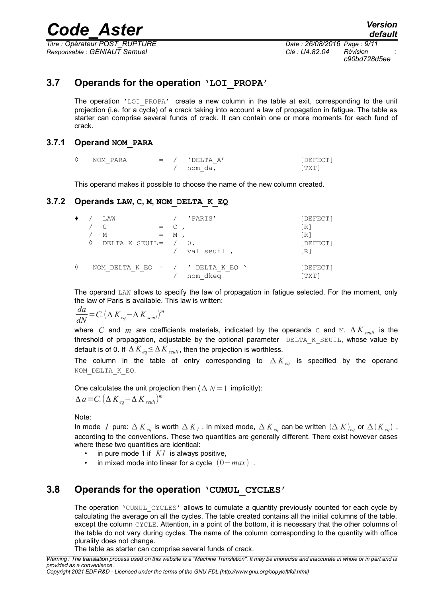*Titre : Opérateur POST\_RUPTURE Date : 26/08/2016 Page : 9/11 Responsable : GÉNIAUT Samuel Clé : U4.82.04 Révision :*

*c90bd728d5ee*

## **3.7 Operands for the operation 'LOI\_PROPA'**

The operation  $'LOI$  PROPA' create a new column in the table at exit, corresponding to the unit projection (i.e. for a cycle) of a crack taking into account a law of propagation in fatigue. The table as starter can comprise several funds of crack. It can contain one or more moments for each fund of crack.

#### **3.7.1 Operand NOM\_PARA**

| NOM PARA | $=$ | $'$ DELTA A' | DEFECT1 |
|----------|-----|--------------|---------|
|          |     | nom da,      | . TXT . |

This operand makes it possible to choose the name of the new column created.

#### **3.7.2 Operands LAW, C, M, NOM\_DELTA\_K\_EQ**

| ٠ | ◊ | LAW<br>М<br>DELTA K SEUIL= | $=$ | C<br>М | 'PARIS'<br>val seuil,                           | [DEFECT]<br>[R]<br>[R]<br>[DEFECT]<br>[R] |
|---|---|----------------------------|-----|--------|-------------------------------------------------|-------------------------------------------|
| ♦ |   |                            |     |        | NOM DELTA K EQ = $/$ ' DELTA K EQ '<br>nom dkeg | [DEFECT]<br>[TXT]                         |

The operand LAW allows to specify the law of propagation in fatigue selected. For the moment, only the law of Paris is available. This law is written:

$$
\frac{da}{dN} = C. (\Delta K_{eq} - \Delta K_{seuil})^m
$$

where *C* and *m* are coefficients materials, indicated by the operands c and M.  $\Delta K_{\text{seuil}}$  is the threshold of propagation, adjustable by the optional parameter DELTA K SEUIL, whose value by default is of 0. If  $\Delta K_{eq} \leq \Delta K_{seuil}$ , then the projection is worthless.

The column in the table of entry corresponding to  $\Delta K_{eq}$  is specified by the operand NOM\_DELTA\_K\_EQ.

One calculates the unit projection then  $(\Delta N=1)$  implicitly):  $\Delta a = C. \left( \Delta K_{eq} - \Delta K_{seuil} \right)^m$ 

Note:

In mode  $I$  pure:  $\Delta$   $K$ <sub>eq</sub> is worth  $\Delta$   $K$ <sub>I</sub> . In mixed mode,  $\Delta$   $K$ <sub>eq</sub> can be written  $(\Delta$   $K)_{eq}$  or  $\Delta$ ( $K$ <sub>eq</sub>), according to the conventions. These two quantities are generally different. There exist however cases where these two quantities are identical:

- in pure mode 1 if *K1* is always positive,
- in mixed mode into linear for a cycle  $(0 max)$ .

#### **3.8 Operands for the operation 'CUMUL\_CYCLES'**

The operation 'CUMUL CYCLES' allows to cumulate a quantity previously counted for each cycle by calculating the average on all the cycles. The table created contains all the initial columns of the table, except the column CYCLE. Attention, in a point of the bottom, it is necessary that the other columns of the table do not vary during cycles. The name of the column corresponding to the quantity with office plurality does not change.

The table as starter can comprise several funds of crack.

*Warning : The translation process used on this website is a "Machine Translation". It may be imprecise and inaccurate in whole or in part and is provided as a convenience.*

*Copyright 2021 EDF R&D - Licensed under the terms of the GNU FDL (http://www.gnu.org/copyleft/fdl.html)*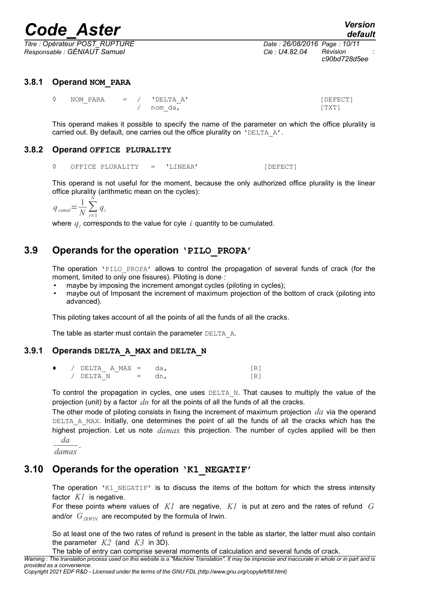*Titre : Opérateur POST\_RUPTURE Date : 26/08/2016 Page : 10/11 Responsable : GÉNIAUT Samuel Clé : U4.82.04 Révision :*

*c90bd728d5ee*

#### **3.8.1 Operand NOM\_PARA**

| 0 | NOM PARA | $=$ / $'$ $\Gamma$ $\Gamma$ $\Gamma$ $\Lambda$ $\Lambda'$ | [DEFECT] |
|---|----------|-----------------------------------------------------------|----------|
|   |          | ` nom da,                                                 | [ TXT ]  |

This operand makes it possible to specify the name of the parameter on which the office plurality is carried out. By default, one carries out the office plurality on 'DELTA A'.

#### **3.8.2 Operand OFFICE PLURALITY**

◊ OFFICE PLURALITY = 'LINEAR' [DEFECT]

This operand is not useful for the moment, because the only authorized office plurality is the linear office plurality (arithmetic mean on the cycles):

$$
q_{\textit{cumul}} = \frac{1}{N} \sum_{i=1}^{N} q_i
$$

where  $q_i$  corresponds to the value for cyle  $i$  quantity to be cumulated.

## **3.9 Operands for the operation 'PILO\_PROPA'**

The operation 'PILO PROPA' allows to control the propagation of several funds of crack (for the moment, limited to only one fissures). Piloting is done :

- maybe by imposing the increment amongst cycles (piloting in cycles);
- maybe out of Imposant the increment of maximum projection of the bottom of crack (piloting into advanced).

This piloting takes account of all the points of all the funds of all the cracks.

The table as starter must contain the parameter DELTA\_A.

#### **3.9.1 Operands DELTA\_A\_MAX and DELTA\_N**

| $\bullet$ | $\angle$ DELTA A MAX = da, |                           |  |
|-----------|----------------------------|---------------------------|--|
|           | $/$ DELTA N                | $\mathbf{r} = \mathbf{r}$ |  |

To control the propagation in cycles, one uses  $DELTA$  N. That causes to multiply the value of the projection (unit) by a factor *dn* for all the points of all the funds of all the cracks.

The other mode of piloting consists in fixing the increment of maximum projection *da* via the operand DELTA A MAX. Initially, one determines the point of all the funds of all the cracks which has the highest projection. Let us note *damax* this projection. The number of cycles applied will be then *da*

*damax* .

## **3.10 Operands for the operation 'K1\_NEGATIF'**

The operation 'K1 NEGATIF' is to discuss the items of the bottom for which the stress intensity factor *K1* is negative.

For these points where values of *K1* are negative, *K1* is put at zero and the rates of refund *G* and/or  $G_{IRWIN}$  are recomputed by the formula of Irwin.

So at least one of the two rates of refund is present in the table as starter, the latter must also contain the parameter *K2* (and *K3* in 3D).

The table of entry can comprise several moments of calculation and several funds of crack.

*Warning : The translation process used on this website is a "Machine Translation". It may be imprecise and inaccurate in whole or in part and is provided as a convenience.*